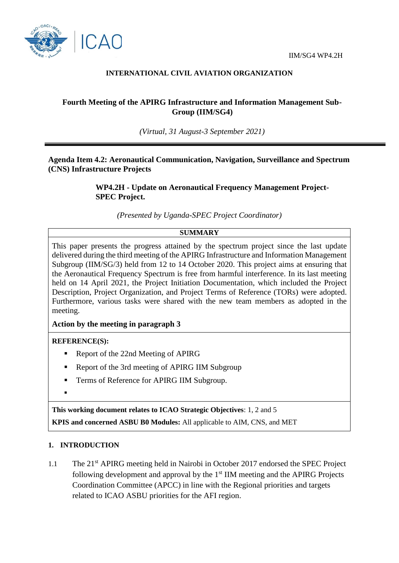

### **INTERNATIONAL CIVIL AVIATION ORGANIZATION**

# **Fourth Meeting of the APIRG Infrastructure and Information Management Sub-Group (IIM/SG4)**

*(Virtual, 31 August-3 September 2021)*

## **Agenda Item 4.2: Aeronautical Communication, Navigation, Surveillance and Spectrum (CNS) Infrastructure Projects**

**WP4.2H - Update on Aeronautical Frequency Management Project-SPEC Project.**

*(Presented by Uganda-SPEC Project Coordinator)*

#### **SUMMARY**

This paper presents the progress attained by the spectrum project since the last update delivered during the third meeting of the APIRG Infrastructure and Information Management Subgroup (IIM/SG/3) held from 12 to 14 October 2020. This project aims at ensuring that the Aeronautical Frequency Spectrum is free from harmful interference. In its last meeting held on 14 April 2021, the Project Initiation Documentation, which included the Project Description, Project Organization, and Project Terms of Reference (TORs) were adopted. Furthermore, various tasks were shared with the new team members as adopted in the meeting.

#### **Action by the meeting in paragraph 3**

#### **REFERENCE(S):**

- Report of the 22nd Meeting of APIRG
- Report of the 3rd meeting of APIRG IIM Subgroup
- **Terms of Reference for APIRG IIM Subgroup.**
- $\blacksquare$

**This working document relates to ICAO Strategic Objectives**: 1, 2 and 5 **KPIS and concerned ASBU B0 Modules:** All applicable to AIM, CNS, and MET

#### **1. INTRODUCTION**

1.1 The 21<sup>st</sup> APIRG meeting held in Nairobi in October 2017 endorsed the SPEC Project following development and approval by the  $1<sup>st</sup>$  IIM meeting and the APIRG Projects Coordination Committee (APCC) in line with the Regional priorities and targets related to ICAO ASBU priorities for the AFI region.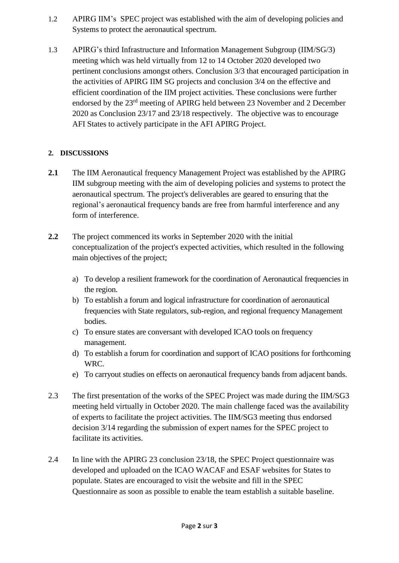- 1.2 APIRG IIM's SPEC project was established with the aim of developing policies and Systems to protect the aeronautical spectrum.
- 1.3 APIRG's third Infrastructure and Information Management Subgroup (IIM/SG/3) meeting which was held virtually from 12 to 14 October 2020 developed two pertinent conclusions amongst others. Conclusion 3/3 that encouraged participation in the activities of APIRG IIM SG projects and conclusion 3/4 on the effective and efficient coordination of the IIM project activities. These conclusions were further endorsed by the 23rd meeting of APIRG held between 23 November and 2 December 2020 as Conclusion 23/17 and 23/18 respectively. The objective was to encourage AFI States to actively participate in the AFI APIRG Project.

# **2. DISCUSSIONS**

- **2.1** The IIM Aeronautical frequency Management Project was established by the APIRG IIM subgroup meeting with the aim of developing policies and systems to protect the aeronautical spectrum. The project's deliverables are geared to ensuring that the regional's aeronautical frequency bands are free from harmful interference and any form of interference.
- **2.2** The project commenced its works in September 2020 with the initial conceptualization of the project's expected activities, which resulted in the following main objectives of the project;
	- a) To develop a resilient framework for the coordination of Aeronautical frequencies in the region.
	- b) To establish a forum and logical infrastructure for coordination of aeronautical frequencies with State regulators, sub-region, and regional frequency Management bodies.
	- c) To ensure states are conversant with developed ICAO tools on frequency management.
	- d) To establish a forum for coordination and support of ICAO positions for forthcoming WRC.
	- e) To carryout studies on effects on aeronautical frequency bands from adjacent bands.
- 2.3 The first presentation of the works of the SPEC Project was made during the IIM/SG3 meeting held virtually in October 2020. The main challenge faced was the availability of experts to facilitate the project activities. The IIM/SG3 meeting thus endorsed decision 3/14 regarding the submission of expert names for the SPEC project to facilitate its activities.
- 2.4 In line with the APIRG 23 conclusion 23/18, the SPEC Project questionnaire was developed and uploaded on the ICAO WACAF and ESAF websites for States to populate. States are encouraged to visit the website and fill in the SPEC Questionnaire as soon as possible to enable the team establish a suitable baseline.